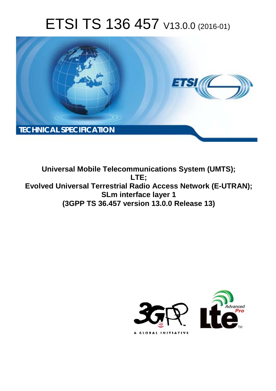# ETSI TS 136 457 V13.0.0 (2016-01)



**Universal Mobile Te Telecommunications System (U (UMTS); Evolved Universal Terrestrial Radio Access Network (E-UTRAN); SL Lm interface layer 1 (3GPP TS 36.4 6.457 version 13.0.0 Release 13 3) LTE;** 

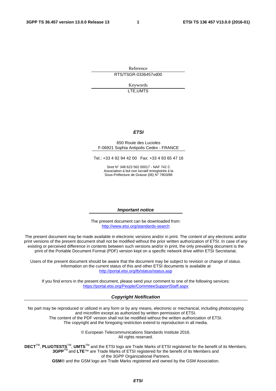Reference RTS/TSGR-0336457vd00

> Keywords LTE,UMTS

#### *ETSI*

#### 650 Route des Lucioles F-06921 Sophia Antipolis Cedex - FRANCE

Tel.: +33 4 92 94 42 00 Fax: +33 4 93 65 47 16

Siret N° 348 623 562 00017 - NAF 742 C Association à but non lucratif enregistrée à la Sous-Préfecture de Grasse (06) N° 7803/88

#### *Important notice*

The present document can be downloaded from: <http://www.etsi.org/standards-search>

The present document may be made available in electronic versions and/or in print. The content of any electronic and/or print versions of the present document shall not be modified without the prior written authorization of ETSI. In case of any existing or perceived difference in contents between such versions and/or in print, the only prevailing document is the print of the Portable Document Format (PDF) version kept on a specific network drive within ETSI Secretariat.

Users of the present document should be aware that the document may be subject to revision or change of status. Information on the current status of this and other ETSI documents is available at <http://portal.etsi.org/tb/status/status.asp>

If you find errors in the present document, please send your comment to one of the following services: <https://portal.etsi.org/People/CommiteeSupportStaff.aspx>

#### *Copyright Notification*

No part may be reproduced or utilized in any form or by any means, electronic or mechanical, including photocopying and microfilm except as authorized by written permission of ETSI.

The content of the PDF version shall not be modified without the written authorization of ETSI. The copyright and the foregoing restriction extend to reproduction in all media.

> © European Telecommunications Standards Institute 2016. All rights reserved.

**DECT**TM, **PLUGTESTS**TM, **UMTS**TM and the ETSI logo are Trade Marks of ETSI registered for the benefit of its Members. **3GPP**TM and **LTE**™ are Trade Marks of ETSI registered for the benefit of its Members and of the 3GPP Organizational Partners.

**GSM**® and the GSM logo are Trade Marks registered and owned by the GSM Association.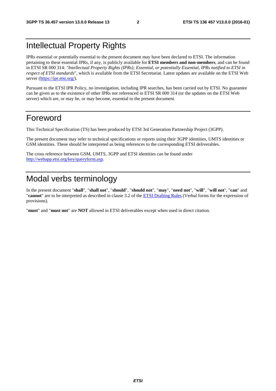#### Intellectual Property Rights

IPRs essential or potentially essential to the present document may have been declared to ETSI. The information pertaining to these essential IPRs, if any, is publicly available for **ETSI members and non-members**, and can be found in ETSI SR 000 314: *"Intellectual Property Rights (IPRs); Essential, or potentially Essential, IPRs notified to ETSI in respect of ETSI standards"*, which is available from the ETSI Secretariat. Latest updates are available on the ETSI Web server [\(https://ipr.etsi.org/](https://ipr.etsi.org/)).

Pursuant to the ETSI IPR Policy, no investigation, including IPR searches, has been carried out by ETSI. No guarantee can be given as to the existence of other IPRs not referenced in ETSI SR 000 314 (or the updates on the ETSI Web server) which are, or may be, or may become, essential to the present document.

#### Foreword

This Technical Specification (TS) has been produced by ETSI 3rd Generation Partnership Project (3GPP).

The present document may refer to technical specifications or reports using their 3GPP identities, UMTS identities or GSM identities. These should be interpreted as being references to the corresponding ETSI deliverables.

The cross reference between GSM, UMTS, 3GPP and ETSI identities can be found under [http://webapp.etsi.org/key/queryform.asp.](http://webapp.etsi.org/key/queryform.asp)

### Modal verbs terminology

In the present document "**shall**", "**shall not**", "**should**", "**should not**", "**may**", "**need not**", "**will**", "**will not**", "**can**" and "**cannot**" are to be interpreted as described in clause 3.2 of the [ETSI Drafting Rules](http://portal.etsi.org/Help/editHelp!/Howtostart/ETSIDraftingRules.aspx) (Verbal forms for the expression of provisions).

"**must**" and "**must not**" are **NOT** allowed in ETSI deliverables except when used in direct citation.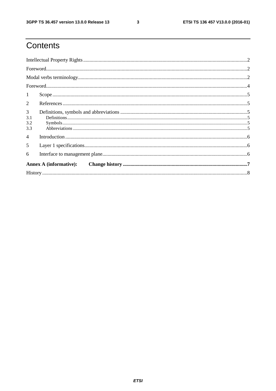$\mathbf{3}$ 

## Contents

| $\mathbf{1}$           |                               |  |  |  |  |
|------------------------|-------------------------------|--|--|--|--|
| 2                      |                               |  |  |  |  |
| 3<br>3.1<br>3.2<br>3.3 |                               |  |  |  |  |
| $\overline{4}$         |                               |  |  |  |  |
| $5\overline{)}$        |                               |  |  |  |  |
| 6                      |                               |  |  |  |  |
|                        | <b>Annex A (informative):</b> |  |  |  |  |
|                        |                               |  |  |  |  |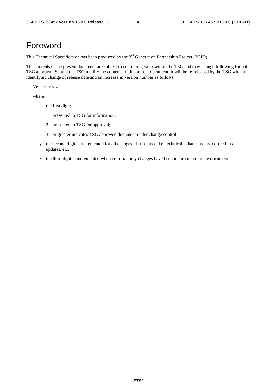#### Foreword

This Technical Specification has been produced by the 3<sup>rd</sup> Generation Partnership Project (3GPP).

The contents of the present document are subject to continuing work within the TSG and may change following formal TSG approval. Should the TSG modify the contents of the present document, it will be re-released by the TSG with an identifying change of release date and an increase in version number as follows:

Version x.y.z

where:

- x the first digit:
	- 1 presented to TSG for information;
	- 2 presented to TSG for approval;
	- 3 or greater indicates TSG approved document under change control.
- y the second digit is incremented for all changes of substance, i.e. technical enhancements, corrections, updates, etc.
- z the third digit is incremented when editorial only changes have been incorporated in the document.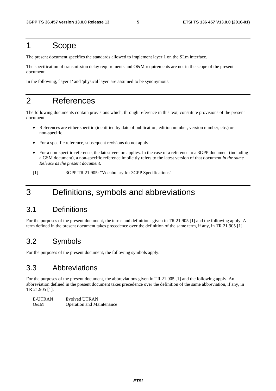#### 1 Scope

The present document specifies the standards allowed to implement layer 1 on the SLm interface.

The specification of transmission delay requirements and O&M requirements are not in the scope of the present document.

In the following, 'layer 1' and 'physical layer' are assumed to be synonymous.

#### 2 References

The following documents contain provisions which, through reference in this text, constitute provisions of the present document.

- References are either specific (identified by date of publication, edition number, version number, etc.) or non-specific.
- For a specific reference, subsequent revisions do not apply.
- For a non-specific reference, the latest version applies. In the case of a reference to a 3GPP document (including a GSM document), a non-specific reference implicitly refers to the latest version of that document *in the same Release as the present document*.
- [1] 3GPP TR 21.905: "Vocabulary for 3GPP Specifications".

#### 3 Definitions, symbols and abbreviations

#### 3.1 Definitions

For the purposes of the present document, the terms and definitions given in TR 21.905 [1] and the following apply. A term defined in the present document takes precedence over the definition of the same term, if any, in TR 21.905 [1].

#### 3.2 Symbols

For the purposes of the present document, the following symbols apply:

#### 3.3 Abbreviations

For the purposes of the present document, the abbreviations given in TR 21.905 [1] and the following apply. An abbreviation defined in the present document takes precedence over the definition of the same abbreviation, if any, in TR 21.905 [1].

| E-UTRAN | Evolved UTRAN                    |
|---------|----------------------------------|
| - O&M   | <b>Operation and Maintenance</b> |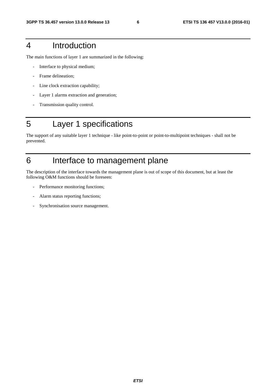#### 4 Introduction

The main functions of layer 1 are summarized in the following:

- Interface to physical medium;
- Frame delineation;
- Line clock extraction capability;
- Layer 1 alarms extraction and generation;
- Transmission quality control.

### 5 Layer 1 specifications

The support of any suitable layer 1 technique - like point-to-point or point-to-multipoint techniques - shall not be prevented.

### 6 Interface to management plane

The description of the interface towards the management plane is out of scope of this document, but at least the following O&M functions should be foreseen:

- Performance monitoring functions;
- Alarm status reporting functions;
- Synchronisation source management.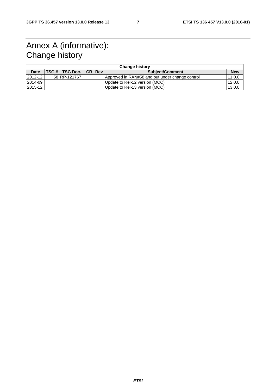### Annex A (informative): Change history

| <b>Change history</b> |  |                              |  |                |                                                 |            |  |  |  |
|-----------------------|--|------------------------------|--|----------------|-------------------------------------------------|------------|--|--|--|
| <b>Date</b>           |  | $TSG #$ TSG Doc. $\parallel$ |  | <b>CR Revi</b> | <b>Subject/Comment</b>                          | <b>New</b> |  |  |  |
| 2012-12               |  | 58 RP-121767                 |  |                | Approved in RAN#58 and put under change control | 11.0.0     |  |  |  |
| 2014-09               |  |                              |  |                | Update to Rel-12 version (MCC)                  | 12.0.0     |  |  |  |
| 2015-12               |  |                              |  |                | Update to Rel-13 version (MCC)                  | 13.0.0     |  |  |  |